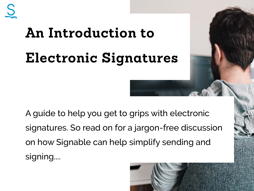## **An Introduction to Electronic Signatures**

A guide to help you get to grips with electronic signatures. So read on for a jargon-free discussion on how Signable can help simplify sending and signing....

**1**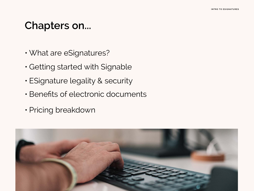### **Chapters on...**

- What are eSignatures?
- Getting started with Signable
- ESignature legality & security
- Benefits of electronic documents
- Pricing breakdown

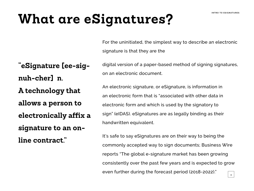## **What are eSignatures?**

For the uninitiated, the simplest way to describe an electronic signature is that they are the

**"eSignature [ee-signuh-cher] n.** 

**A technology that allows a person to electronically affix a** 

**signature to an on-**

**line contract."**

digital version of a paper-based method of signing signatures, on an electronic document.

An electronic signature, or eSignature, is information in an electronic form that is "associated with other data in electronic form and which is used by the signatory to sign" (eIDAS). eSignatures are as legally binding as their handwritten equivalent.

It's safe to say eSignatures are on their way to being the commonly accepted way to sign documents; Business Wire reports "The global e-signature market has been growing consistently over the past few years and is expected to grow even further during the forecast period (2018-2022)." **3**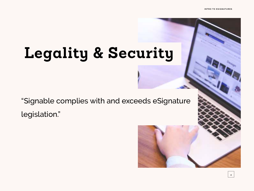**4**

## **Legality & Security**

"Signable complies with and exceeds eSignature legislation."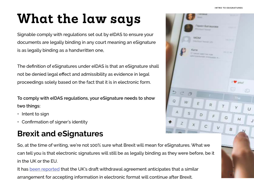#### **INTRO TO ESIGNATURES**

**5**

## **What the law says**

Signable comply with regulations set out by eIDAS to ensure your documents are legally binding in any court meaning an eSignature is as legally binding as a handwritten one,

The definition of eSignatures under eIDAS is that an eSignature shall not be denied legal effect and admissibility as evidence in legal proceedings solely based on the fact that it is in electronic form.

**To comply with eIDAS regulations, your eSignature needs to show two things:**

- Intent to sign
- Confirmation of signer's identity

#### **Brexit and eSignatures**

So, at the time of writing, we're not 100% sure what Brexit will mean for eSignatures. What we can tell you is that electronic signatures will still be as legally binding as they were before, be it in the UK or the EU.

It has [been reported](https://www.lexology.com/library/detail.aspx?g=749b7d92-d742-49c0-ba12-916e5c3967e4) that the UK's draft withdrawal agreement anticipates that a similar arrangement for accepting information in electronic format will continue after Brexit.

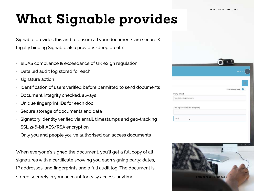## **What Signable provides**

Signable provides this and to ensure all your documents are secure & legally binding Signable also provides (deep breath):

- eIDAS compliance & exceedance of UK eSign regulation
- Detailed audit log stored for each
- signature action
- Identification of users verified before permitted to send documents
- Document integrity checked, always
- Unique fingerprint IDs for each doc
- Secure storage of documents and data
- Signatory identity verified via email, timestamps and geo-tracking
- SSL 256-bit AES/RSA encryption
- Only you and people you've authorised can access documents

When everyone's signed the document, you'll get a full copy of all signatures with a certificate showing you each signing party; dates, IP addresses, and fingerprints and a full audit log. The document is stored securely in your account for easy access, anytime.

|                              | y.                  |
|------------------------------|---------------------|
|                              | Lewis $\sim$        |
|                              |                     |
|                              | Receives copy only: |
| Party email                  |                     |
| e.g. jogexample.com          |                     |
| Add a password for the party |                     |
|                              |                     |
| I<br>.                       |                     |

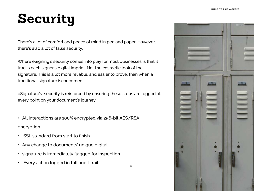## **Security**

There's a lot of comfort and peace of mind in pen and paper. However, there's also a lot of false security.

Where eSigning's security comes into play for most businesses is that it tracks each signer's digital imprint. Not the cosmetic look of the signature. This is a lot more reliable, and easier to prove, than when a traditional signature isconcerned.

eSignature's security is reinforced by ensuring these steps are logged at every point on your document's journey:

01

- All interactions are 100% encrypted via 256-bit AES/RSA encryption
- SSL standard from start to finish
- Any change to documents' unique digital
- signature is immediately flagged for inspection
- Every action logged in full audit trail

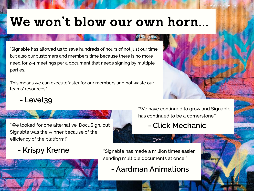**8**

## **We won't blow our own horn...**

"Signable has allowed us to save hundreds of hours of not just our time but also our customers and members time because there is no more need for 2-4 meetings per a document that needs signing by multiple parties.

This means we can executefaster for our members and not waste our teams' resources."

**- Level39**

"We looked for one alternative, DocuSign, but **4 Click Mechanic** Signable was the winner because of the efficiency of the platform!"

"We have continued to grow and Signable has continued to be a cornerstone."

**- Krispy Kreme** "Signable has made a million times easier sending multiple documents at once!"

**- Aardman Animations**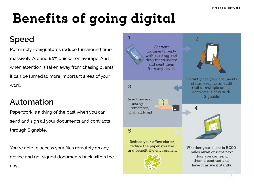#### **Benefits of going digital INTRO TO ESIGNATURES**

#### **Speed**

Put simply - eSignatures reduce turnaround time massively. Around 80% quicker on average. And when attention is taken away from chasing clients, it can be turned to more important areas of your work.

#### **Automation**

Paperwork is a thing of the past when you can send and sign all your documents and contracts through Signable.

You're able to access your files remotely on any device and get signed documents back within the day.

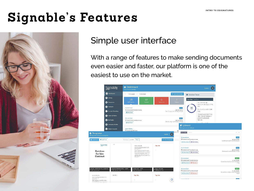## **Signable's Features**



#### Simple user interface

With a range of features to make sending documents even easier and faster, our platform is one of the easiest to use on the market.

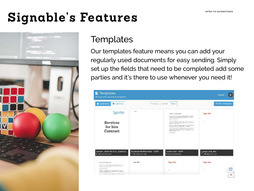## **Signable's Features**



#### **Templates**

Our templates feature means you can add your regularly used documents for easy sending. Simply set up the fields that need to be completed add some parties and it's there to use whenever you need it!

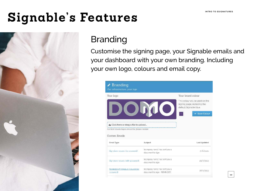## **Signable's Features**



#### Branding

Customise the signing page, your Signable emails and your dashboard with your own branding. Including your own logo, colours and email copy.

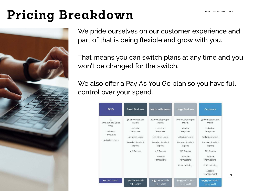**1 3**

## **Pricing Breakdown INTRO TO ESIGNATURES**



We pride ourselves on our customer experience and part of that is being flexible and grow with you.

That means you can switch plans at any time and you won't be changed for the switch.

We also offer a Pay As You Go plan so you have full control over your spend.

| <b>PAYG</b>                                                                                  | <b>Small Business</b>                                                                                               | <b>Medium Business</b>                                                                                                                                | <b>Large Business</b>                                                                                                                                                                 | Corporate                                                                                                                                                                                          |
|----------------------------------------------------------------------------------------------|---------------------------------------------------------------------------------------------------------------------|-------------------------------------------------------------------------------------------------------------------------------------------------------|---------------------------------------------------------------------------------------------------------------------------------------------------------------------------------------|----------------------------------------------------------------------------------------------------------------------------------------------------------------------------------------------------|
| $\hat{\mathbf{z}}$<br>per envelope (plus)<br>VAD<br>Unimited<br>Templates<br>Unlimited Users | 50 envelopes per<br>month<br>Unlimited<br>Templates<br>Unlimited Users<br>Branded Emails &<br>Signing<br>API Access | 150 envelopes per<br>month<br>Unlimited<br>Templates<br>Unimited Users<br>Branded Emails &<br>Signing<br><b>API Access</b><br>learns &<br>Permissions | 400 envelopes per<br>month<br>Unlimited<br>Templates<br>Unlimited Users<br><b>Branded Froails &amp;</b><br>Signing<br><b>API Access</b><br>learns &<br>Permissions<br>IF Whitelisting | 750 envelopes per<br>month<br>Unlimited<br>Templates<br>Unlimited Users<br>Branced Emails &<br>Signing<br><b>API Access</b><br>Teams &<br>Permissions<br>IP White Listing<br>Account<br>Management |
| Eo per month                                                                                 | <b>£21 per month</b><br>(plus VAT)                                                                                  | E49 per month<br>(plus VAT)                                                                                                                           | E119 per month<br>(plus VAT)                                                                                                                                                          | £199 per month<br>(plus VAT)                                                                                                                                                                       |